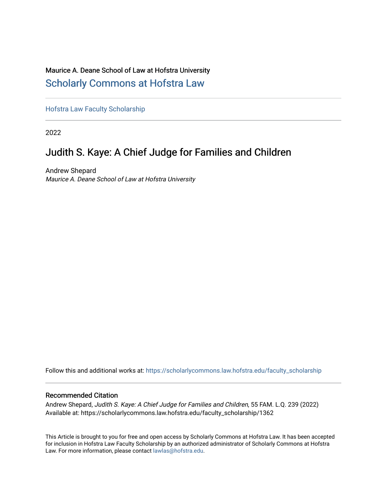## Maurice A. Deane School of Law at Hofstra University [Scholarly Commons at Hofstra Law](https://scholarlycommons.law.hofstra.edu/)

[Hofstra Law Faculty Scholarship](https://scholarlycommons.law.hofstra.edu/faculty_scholarship) 

2022

## Judith S. Kaye: A Chief Judge for Families and Children

Andrew Shepard Maurice A. Deane School of Law at Hofstra University

Follow this and additional works at: [https://scholarlycommons.law.hofstra.edu/faculty\\_scholarship](https://scholarlycommons.law.hofstra.edu/faculty_scholarship?utm_source=scholarlycommons.law.hofstra.edu%2Ffaculty_scholarship%2F1362&utm_medium=PDF&utm_campaign=PDFCoverPages)

### Recommended Citation

Andrew Shepard, Judith S. Kaye: A Chief Judge for Families and Children, 55 FAM. L.Q. 239 (2022) Available at: https://scholarlycommons.law.hofstra.edu/faculty\_scholarship/1362

This Article is brought to you for free and open access by Scholarly Commons at Hofstra Law. It has been accepted for inclusion in Hofstra Law Faculty Scholarship by an authorized administrator of Scholarly Commons at Hofstra Law. For more information, please contact [lawlas@hofstra.edu.](mailto:lawlas@hofstra.edu)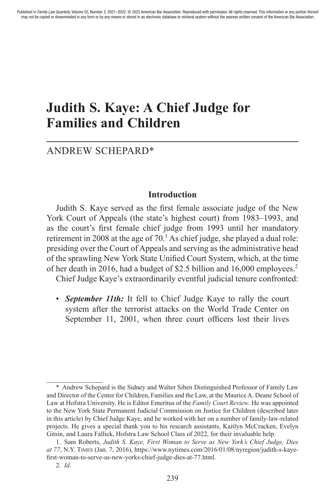# **Judith S. Kaye: A Chief Judge for Families and Children**

## ANDREW SCHEPARD\*

#### **Introduction**

Judith S. Kaye served as the first female associate judge of the New York Court of Appeals (the state's highest court) from 1983–1993, and as the court's first female chief judge from 1993 until her mandatory retirement in 2008 at the age of  $70<sup>1</sup>$  As chief judge, she played a dual role: presiding over the Court of Appeals and serving as the administrative head of the sprawling New York State Unified Court System, which, at the time of her death in 2016, had a budget of \$2.5 billion and 16,000 employees.2

Chief Judge Kaye's extraordinarily eventful judicial tenure confronted:

• *September 11th:* It fell to Chief Judge Kaye to rally the court system after the terrorist attacks on the World Trade Center on September 11, 2001, when three court officers lost their lives

<sup>\*</sup> Andrew Schepard is the Sidney and Walter Siben Distinguished Professor of Family Law and Director of the Center for Children, Families and the Law, at the Maurice A. Deane School of Law at Hofstra University. He is Editor Emeritus of the *Family Court Review*. He was appointed to the New York State Permanent Judicial Commission on Justice for Children (described later in this article) by Chief Judge Kaye, and he worked with her on a number of family-law-related projects. He gives a special thank you to his research assistants, Kaitlyn McCracken, Evelyn Gitsin, and Laura Fallick, Hofstra Law School Class of 2022, for their invaluable help.

<sup>1.</sup> Sam Roberts, *Judith S. Kaye, First Woman to Serve as New York's Chief Judge, Dies at 77*, N.Y. Times (Jan. 7, 2016), https://www.nytimes.com/2016/01/08/nyregion/judith-s-kayefirst-woman-to-serve-as-new-yorks-chief-judge-dies-at-77.html.

<sup>2.</sup> *Id.*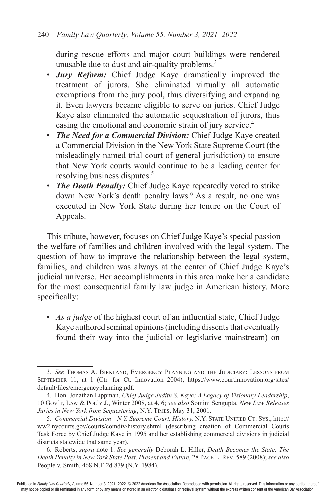during rescue efforts and major court buildings were rendered unusable due to dust and air-quality problems.<sup>3</sup>

- *Jury Reform:* Chief Judge Kaye dramatically improved the treatment of jurors. She eliminated virtually all automatic exemptions from the jury pool, thus diversifying and expanding it. Even lawyers became eligible to serve on juries. Chief Judge Kaye also eliminated the automatic sequestration of jurors, thus easing the emotional and economic strain of jury service.<sup>4</sup>
- *The Need for a Commercial Division:* Chief Judge Kaye created a Commercial Division in the New York State Supreme Court (the misleadingly named trial court of general jurisdiction) to ensure that New York courts would continue to be a leading center for resolving business disputes.<sup>5</sup>
- *The Death Penalty:* Chief Judge Kaye repeatedly voted to strike down New York's death penalty laws.<sup>6</sup> As a result, no one was executed in New York State during her tenure on the Court of Appeals.

This tribute, however, focuses on Chief Judge Kaye's special passion the welfare of families and children involved with the legal system. The question of how to improve the relationship between the legal system, families, and children was always at the center of Chief Judge Kaye's judicial universe. Her accomplishments in this area make her a candidate for the most consequential family law judge in American history. More specifically:

• *As a judge* of the highest court of an influential state, Chief Judge Kaye authored seminal opinions (including dissents that eventually found their way into the judicial or legislative mainstream) on

<sup>3.</sup> *See* Thomas A. Birkland, Emergency Planning and the Judiciary: Lessons from September 11, at 1 (Ctr. for Ct. Innovation 2004), https://www.courtinnovation.org/sites/ default/files/emergencyplanning.pdf.

<sup>4.</sup> Hon. Jonathan Lippman, *Chief Judge Judith S. Kaye: A Legacy of Visionary Leadership*, 10 Gov't, Law & Pol'y J., Winter 2008, at 4, 6; *see also* Somini Sengupta, *New Law Releases Juries in New York from Sequestering*, N.Y. Times, May 31, 2001.

<sup>5.</sup> *Commercial Division--N.Y. Supreme Court, History, N.Y. STATE UNIFIED CT. SYS., http://* ww2.nycourts.gov/courts/comdiv/history.shtml (describing creation of Commercial Courts Task Force by Chief Judge Kaye in 1995 and her establishing commercial divisions in judicial districts statewide that same year).

<sup>6.</sup> Roberts, *supra* note 1. *See generally* Deborah L. Hiller, *Death Becomes the State: The Death Penalty in New York State Past, Present and Future*, 28 Pace L. Rev. 589 (2008); *see also*  People v. Smith, 468 N.E.2d 879 (N.Y. 1984).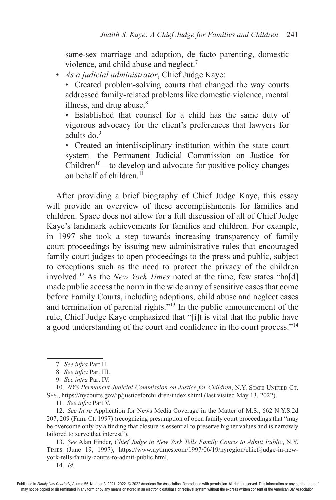same-sex marriage and adoption, de facto parenting, domestic violence, and child abuse and neglect.<sup>7</sup>

• *As a judicial administrator*, Chief Judge Kaye:

• Created problem-solving courts that changed the way courts addressed family-related problems like domestic violence, mental illness, and drug abuse. $8$ 

• Established that counsel for a child has the same duty of vigorous advocacy for the client's preferences that lawyers for adults do.<sup>9</sup>

• Created an interdisciplinary institution within the state court system—the Permanent Judicial Commission on Justice for  $Children<sup>10</sup>$ —to develop and advocate for positive policy changes on behalf of children.<sup>11</sup>

After providing a brief biography of Chief Judge Kaye, this essay will provide an overview of these accomplishments for families and children. Space does not allow for a full discussion of all of Chief Judge Kaye's landmark achievements for families and children. For example, in 1997 she took a step towards increasing transparency of family court proceedings by issuing new administrative rules that encouraged family court judges to open proceedings to the press and public, subject to exceptions such as the need to protect the privacy of the children involved.12 As the *New York Times* noted at the time, few states "ha[d] made public access the norm in the wide array of sensitive cases that come before Family Courts, including adoptions, child abuse and neglect cases and termination of parental rights. $13 \text{ In the public announcement of the}$ rule, Chief Judge Kaye emphasized that "[i]t is vital that the public have a good understanding of the court and confidence in the court process."<sup>14</sup>

10. *NYS Permanent Judicial Commission on Justice for Children*, N.Y. STATE UNIFIED CT. Sys., https://nycourts.gov/ip/justiceforchildren/index.shtml (last visited May 13, 2022).

11. *See infra* Part V.

12. *See In re* Application for News Media Coverage in the Matter of M.S., 662 N.Y.S.2d 207, 209 (Fam. Ct. 1997) (recognizing presumption of open family court proceedings that "may be overcome only by a finding that closure is essential to preserve higher values and is narrowly tailored to serve that interest").

13. *See* Alan Finder, *Chief Judge in New York Tells Family Courts to Admit Public*, N.Y. Times (June 19, 1997), https://www.nytimes.com/1997/06/19/nyregion/chief-judge-in-newyork-tells-family-courts-to-admit-public.html.

14. *Id.*

<sup>7.</sup> *See infra* Part II.

<sup>8.</sup> *See infra* Part III.

<sup>9.</sup> *See infra* Part IV.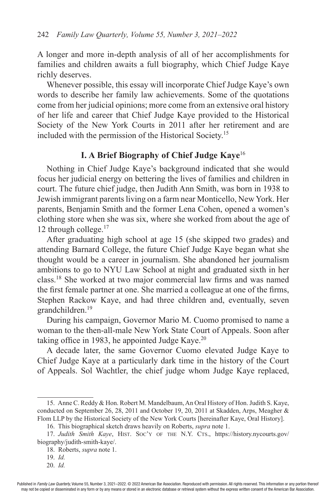A longer and more in-depth analysis of all of her accomplishments for families and children awaits a full biography, which Chief Judge Kaye richly deserves.

Whenever possible, this essay will incorporate Chief Judge Kaye's own words to describe her family law achievements. Some of the quotations come from her judicial opinions; more come from an extensive oral history of her life and career that Chief Judge Kaye provided to the Historical Society of the New York Courts in 2011 after her retirement and are included with the permission of the Historical Society.15

### **I. A Brief Biography of Chief Judge Kaye**<sup>16</sup>

Nothing in Chief Judge Kaye's background indicated that she would focus her judicial energy on bettering the lives of families and children in court. The future chief judge, then Judith Ann Smith, was born in 1938 to Jewish immigrant parents living on a farm near Monticello, New York. Her parents, Benjamin Smith and the former Lena Cohen, opened a women's clothing store when she was six, where she worked from about the age of 12 through college.<sup>17</sup>

After graduating high school at age 15 (she skipped two grades) and attending Barnard College, the future Chief Judge Kaye began what she thought would be a career in journalism. She abandoned her journalism ambitions to go to NYU Law School at night and graduated sixth in her class.18 She worked at two major commercial law firms and was named the first female partner at one. She married a colleague at one of the firms, Stephen Rackow Kaye, and had three children and, eventually, seven grandchildren.19

During his campaign, Governor Mario M. Cuomo promised to name a woman to the then-all-male New York State Court of Appeals. Soon after taking office in 1983, he appointed Judge Kaye. $20$ 

A decade later, the same Governor Cuomo elevated Judge Kaye to Chief Judge Kaye at a particularly dark time in the history of the Court of Appeals. Sol Wachtler, the chief judge whom Judge Kaye replaced,

20. *Id.*

<sup>15.</sup> Anne C. Reddy & Hon. Robert M. Mandelbaum, An Oral History of Hon. Judith S. Kaye, conducted on September 26, 28, 2011 and October 19, 20, 2011 at Skadden, Arps, Meagher & Flom LLP by the Historical Society of the New York Courts [hereinafter Kaye, Oral History].

<sup>16.</sup> This biographical sketch draws heavily on Roberts, *supra* note 1.

<sup>17.</sup> *Judith Smith Kaye*, Hist. Soc'y of the N.Y. Cts., https://history.nycourts.gov/ biography/judith-smith-kaye/.

<sup>18.</sup> Roberts, *supra* note 1.

<sup>19.</sup> *Id.*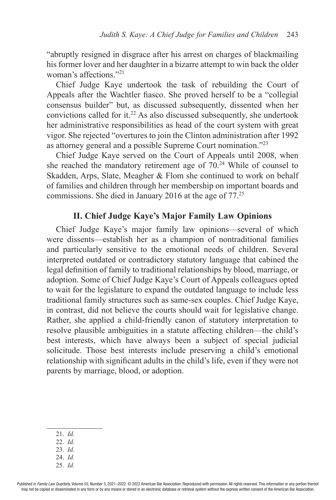"abruptly resigned in disgrace after his arrest on charges of blackmailing his former lover and her daughter in a bizarre attempt to win back the older woman's affections."<sup>21</sup>

Chief Judge Kaye undertook the task of rebuilding the Court of Appeals after the Wachtler fiasco. She proved herself to be a "collegial consensus builder" but, as discussed subsequently, dissented when her convictions called for it. $22$  As also discussed subsequently, she undertook her administrative responsibilities as head of the court system with great vigor. She rejected "overtures to join the Clinton administration after 1992 as attorney general and a possible Supreme Court nomination."<sup>23</sup>

Chief Judge Kaye served on the Court of Appeals until 2008, when she reached the mandatory retirement age of  $70<sup>24</sup>$  While of counsel to Skadden, Arps, Slate, Meagher & Flom she continued to work on behalf of families and children through her membership on important boards and commissions. She died in January 2016 at the age of 77.25

## **II. Chief Judge Kaye's Major Family Law Opinions**

Chief Judge Kaye's major family law opinions—several of which were dissents—establish her as a champion of nontraditional families and particularly sensitive to the emotional needs of children. Several interpreted outdated or contradictory statutory language that cabined the legal definition of family to traditional relationships by blood, marriage, or adoption. Some of Chief Judge Kaye's Court of Appeals colleagues opted to wait for the legislature to expand the outdated language to include less traditional family structures such as same-sex couples. Chief Judge Kaye, in contrast, did not believe the courts should wait for legislative change. Rather, she applied a child-friendly canon of statutory interpretation to resolve plausible ambiguities in a statute affecting children—the child's best interests, which have always been a subject of special judicial solicitude. Those best interests include preserving a child's emotional relationship with significant adults in the child's life, even if they were not parents by marriage, blood, or adoption.

- 21. *Id.*
- 22. *Id.*
- 23. *Id.*
- 24. *Id.*
- 25. *Id.*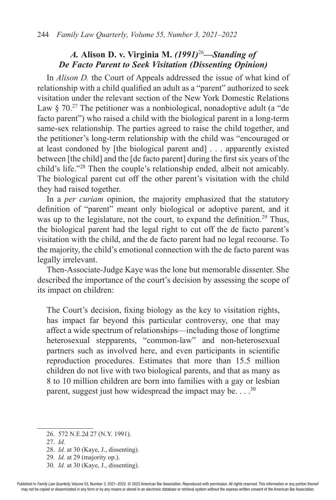## *A.* **Alison D. v. Virginia M.** *(1991)*<sup>26</sup>*—Standing of De Facto Parent to Seek Visitation (Dissenting Opinion)*

In *Alison D.* the Court of Appeals addressed the issue of what kind of relationship with a child qualified an adult as a "parent" authorized to seek visitation under the relevant section of the New York Domestic Relations Law  $\S 70<sup>27</sup>$  The petitioner was a nonbiological, nonadoptive adult (a "de facto parent") who raised a child with the biological parent in a long-term same-sex relationship. The parties agreed to raise the child together, and the petitioner's long-term relationship with the child was "encouraged or at least condoned by [the biological parent and] . . . apparently existed between [the child] and the [de facto parent] during the first six years of the child's life."28 Then the couple's relationship ended, albeit not amicably. The biological parent cut off the other parent's visitation with the child they had raised together.

In a *per curiam* opinion, the majority emphasized that the statutory definition of "parent" meant only biological or adoptive parent, and it was up to the legislature, not the court, to expand the definition.<sup>29</sup> Thus, the biological parent had the legal right to cut off the de facto parent's visitation with the child, and the de facto parent had no legal recourse. To the majority, the child's emotional connection with the de facto parent was legally irrelevant.

Then-Associate-Judge Kaye was the lone but memorable dissenter. She described the importance of the court's decision by assessing the scope of its impact on children:

The Court's decision, fixing biology as the key to visitation rights, has impact far beyond this particular controversy, one that may affect a wide spectrum of relationships—including those of longtime heterosexual stepparents, "common-law" and non-heterosexual partners such as involved here, and even participants in scientific reproduction procedures. Estimates that more than 15.5 million children do not live with two biological parents, and that as many as 8 to 10 million children are born into families with a gay or lesbian parent, suggest just how widespread the impact may be.  $\ldots$ <sup>30</sup>

- 28. *Id.* at 30 (Kaye, J., dissenting).
- 29. *Id.* at 29 (majority op.).
- 30. *Id.* at 30 (Kaye, J., dissenting).

<sup>26.</sup> 572 N.E.2d 27 (N.Y. 1991).

<sup>27.</sup> *Id.*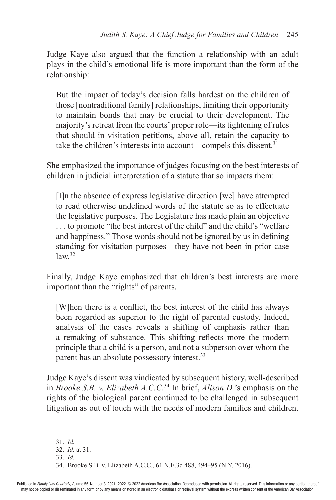Judge Kaye also argued that the function a relationship with an adult plays in the child's emotional life is more important than the form of the relationship:

But the impact of today's decision falls hardest on the children of those [nontraditional family] relationships, limiting their opportunity to maintain bonds that may be crucial to their development. The majority's retreat from the courts' proper role—its tightening of rules that should in visitation petitions, above all, retain the capacity to take the children's interests into account—compels this dissent. $31$ 

She emphasized the importance of judges focusing on the best interests of children in judicial interpretation of a statute that so impacts them:

[I]n the absence of express legislative direction [we] have attempted to read otherwise undefined words of the statute so as to effectuate the legislative purposes. The Legislature has made plain an objective . . . to promote "the best interest of the child" and the child's "welfare and happiness." Those words should not be ignored by us in defining standing for visitation purposes—they have not been in prior case  $law<sup>32</sup>$ 

Finally, Judge Kaye emphasized that children's best interests are more important than the "rights" of parents.

[W]hen there is a conflict, the best interest of the child has always been regarded as superior to the right of parental custody. Indeed, analysis of the cases reveals a shifting of emphasis rather than a remaking of substance. This shifting reflects more the modern principle that a child is a person, and not a subperson over whom the parent has an absolute possessory interest.<sup>33</sup>

Judge Kaye's dissent was vindicated by subsequent history, well-described in *Brooke S.B. v. Elizabeth A.C.C*. <sup>34</sup> In brief, *Alison D.*'s emphasis on the rights of the biological parent continued to be challenged in subsequent litigation as out of touch with the needs of modern families and children.

<sup>31.</sup> *Id.*

<sup>32.</sup> *Id.* at 31.

<sup>33.</sup> *Id.*

<sup>34.</sup> Brooke S.B. v. Elizabeth A.C.C., 61 N.E.3d 488, 494–95 (N.Y. 2016).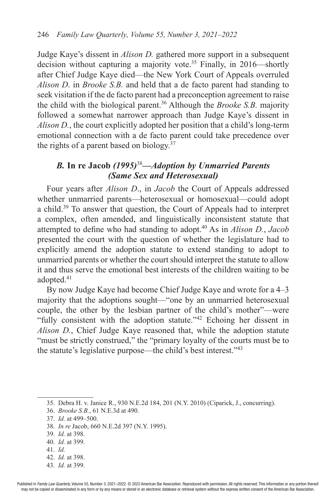Judge Kaye's dissent in *Alison D.* gathered more support in a subsequent decision without capturing a majority vote.<sup>35</sup> Finally, in 2016—shortly after Chief Judge Kaye died—the New York Court of Appeals overruled *Alison D*. in *Brooke S.B.* and held that a de facto parent had standing to seek visitation if the de facto parent had a preconception agreement to raise the child with the biological parent.36 Although the *Brooke S.B.* majority followed a somewhat narrower approach than Judge Kaye's dissent in *Alison D.*, the court explicitly adopted her position that a child's long-term emotional connection with a de facto parent could take precedence over the rights of a parent based on biology. $37$ 

## *B.* **In re Jacob** *(1995)*<sup>38</sup>*—Adoption by Unmarried Parents (Same Sex and Heterosexual)*

Four years after *Alison D*., in *Jacob* the Court of Appeals addressed whether unmarried parents—heterosexual or homosexual—could adopt a child.39 To answer that question, the Court of Appeals had to interpret a complex, often amended, and linguistically inconsistent statute that attempted to define who had standing to adopt.40 As in *Alison D.*, *Jacob* presented the court with the question of whether the legislature had to explicitly amend the adoption statute to extend standing to adopt to unmarried parents or whether the court should interpret the statute to allow it and thus serve the emotional best interests of the children waiting to be adopted.<sup>41</sup>

By now Judge Kaye had become Chief Judge Kaye and wrote for a 4–3 majority that the adoptions sought—"one by an unmarried heterosexual couple, the other by the lesbian partner of the child's mother"—were "fully consistent with the adoption statute."42 Echoing her dissent in *Alison D.*, Chief Judge Kaye reasoned that, while the adoption statute "must be strictly construed," the "primary loyalty of the courts must be to the statute's legislative purpose—the child's best interest."<sup>43</sup>

41. *Id.*

43. *Id.* at 399.

<sup>35.</sup> Debra H. v. Janice R., 930 N.E.2d 184, 201 (N.Y. 2010) (Ciparick, J., concurring).

<sup>36.</sup> *Brooke S.B.*, 61 N.E.3d at 490.

<sup>37.</sup> *Id.* at 499–500.

<sup>38.</sup> *In re* Jacob, 660 N.E.2d 397 (N.Y. 1995).

<sup>39.</sup> *Id.* at 398.

<sup>40.</sup> *Id.* at 399.

<sup>42.</sup> *Id.* at 398.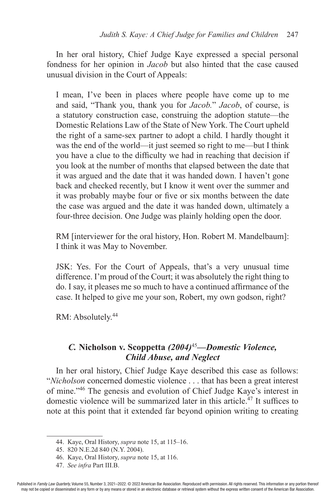In her oral history, Chief Judge Kaye expressed a special personal fondness for her opinion in *Jacob* but also hinted that the case caused unusual division in the Court of Appeals:

I mean, I've been in places where people have come up to me and said, "Thank you, thank you for *Jacob.*" *Jacob*, of course, is a statutory construction case, construing the adoption statute—the Domestic Relations Law of the State of New York. The Court upheld the right of a same-sex partner to adopt a child. I hardly thought it was the end of the world—it just seemed so right to me—but I think you have a clue to the difficulty we had in reaching that decision if you look at the number of months that elapsed between the date that it was argued and the date that it was handed down. I haven't gone back and checked recently, but I know it went over the summer and it was probably maybe four or five or six months between the date the case was argued and the date it was handed down, ultimately a four-three decision. One Judge was plainly holding open the door.

RM [interviewer for the oral history, Hon. Robert M. Mandelbaum]: I think it was May to November.

JSK: Yes. For the Court of Appeals, that's a very unusual time difference. I'm proud of the Court; it was absolutely the right thing to do. I say, it pleases me so much to have a continued affirmance of the case. It helped to give me your son, Robert, my own godson, right?

RM: Absolutely.<sup>44</sup>

## *C.* **Nicholson v. Scoppetta** *(2004)*<sup>45</sup>*—Domestic Violence, Child Abuse, and Neglect*

In her oral history, Chief Judge Kaye described this case as follows: "*Nicholson* concerned domestic violence . . . that has been a great interest of mine."46 The genesis and evolution of Chief Judge Kaye's interest in domestic violence will be summarized later in this article.<sup>47</sup> It suffices to note at this point that it extended far beyond opinion writing to creating

<sup>44.</sup> Kaye, Oral History, *supra* note 15, at 115–16.

<sup>45.</sup> 820 N.E.2d 840 (N.Y. 2004).

<sup>46.</sup> Kaye, Oral History, *supra* note 15, at 116.

<sup>47.</sup> *See infra* Part III.B.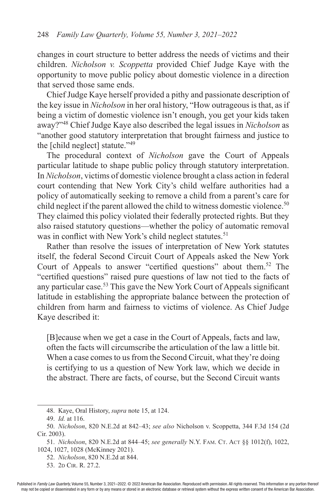changes in court structure to better address the needs of victims and their children. *Nicholson v. Scoppetta* provided Chief Judge Kaye with the opportunity to move public policy about domestic violence in a direction that served those same ends.

Chief Judge Kaye herself provided a pithy and passionate description of the key issue in *Nicholson* in her oral history, "How outrageous is that, as if being a victim of domestic violence isn't enough, you get your kids taken away?"48 Chief Judge Kaye also described the legal issues in *Nicholson* as "another good statutory interpretation that brought fairness and justice to the [child neglect] statute."<sup>49</sup>

The procedural context of *Nicholson* gave the Court of Appeals particular latitude to shape public policy through statutory interpretation. In *Nicholson*, victims of domestic violence brought a class action in federal court contending that New York City's child welfare authorities had a policy of automatically seeking to remove a child from a parent's care for child neglect if the parent allowed the child to witness domestic violence.<sup>50</sup> They claimed this policy violated their federally protected rights. But they also raised statutory questions—whether the policy of automatic removal was in conflict with New York's child neglect statutes.<sup>51</sup>

Rather than resolve the issues of interpretation of New York statutes itself, the federal Second Circuit Court of Appeals asked the New York Court of Appeals to answer "certified questions" about them.52 The "certified questions" raised pure questions of law not tied to the facts of any particular case.53 This gave the New York Court of Appeals significant latitude in establishing the appropriate balance between the protection of children from harm and fairness to victims of violence. As Chief Judge Kaye described it:

[B]ecause when we get a case in the Court of Appeals, facts and law, often the facts will circumscribe the articulation of the law a little bit. When a case comes to us from the Second Circuit, what they're doing is certifying to us a question of New York law, which we decide in the abstract. There are facts, of course, but the Second Circuit wants

<sup>48.</sup> Kaye, Oral History, *supra* note 15, at 124.

<sup>49.</sup> *Id.* at 116.

<sup>50.</sup> *Nicholson*, 820 N.E.2d at 842–43; *see also* Nicholson v. Scoppetta, 344 F.3d 154 (2d Cir. 2003).

<sup>51.</sup> *Nicholson*, 820 N.E.2d at 844–45; *see generally* N.Y. Fam. Ct. Act §§ 1012(f), 1022, 1024, 1027, 1028 (McKinney 2021).

<sup>52.</sup> *Nicholson*, 820 N.E.2d at 844.

<sup>53. 2</sup>D CIR. R. 27.2.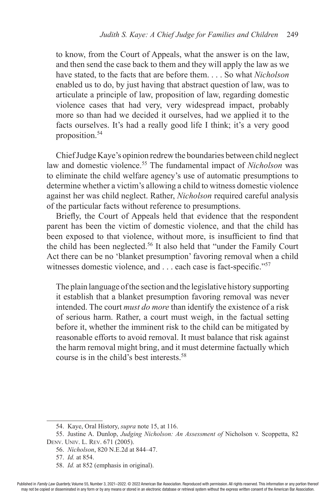to know, from the Court of Appeals, what the answer is on the law, and then send the case back to them and they will apply the law as we have stated, to the facts that are before them. . . . So what *Nicholson*  enabled us to do, by just having that abstract question of law, was to articulate a principle of law, proposition of law, regarding domestic violence cases that had very, very widespread impact, probably more so than had we decided it ourselves, had we applied it to the facts ourselves. It's had a really good life I think; it's a very good proposition.<sup>54</sup>

Chief Judge Kaye's opinion redrew the boundaries between child neglect law and domestic violence.55 The fundamental impact of *Nicholson* was to eliminate the child welfare agency's use of automatic presumptions to determine whether a victim's allowing a child to witness domestic violence against her was child neglect. Rather, *Nicholson* required careful analysis of the particular facts without reference to presumptions.

Briefly, the Court of Appeals held that evidence that the respondent parent has been the victim of domestic violence, and that the child has been exposed to that violence, without more, is insufficient to find that the child has been neglected.<sup>56</sup> It also held that "under the Family Court Act there can be no 'blanket presumption' favoring removal when a child witnesses domestic violence, and . . . each case is fact-specific."<sup>57</sup>

The plain language of the section and the legislative history supporting it establish that a blanket presumption favoring removal was never intended. The court *must do more* than identify the existence of a risk of serious harm. Rather, a court must weigh, in the factual setting before it, whether the imminent risk to the child can be mitigated by reasonable efforts to avoid removal. It must balance that risk against the harm removal might bring, and it must determine factually which course is in the child's best interests<sup>58</sup>

<sup>54.</sup> Kaye, Oral History, *supra* note 15, at 116.

<sup>55.</sup> Justine A. Dunlop, *Judging Nicholson: An Assessment of* Nicholson v. Scoppetta, 82 Denv. Univ. L. Rev. 671 (2005).

<sup>56.</sup> *Nicholson*, 820 N.E.2d at 844–47.

<sup>57.</sup> *Id.* at 854.

<sup>58.</sup> *Id.* at 852 (emphasis in original).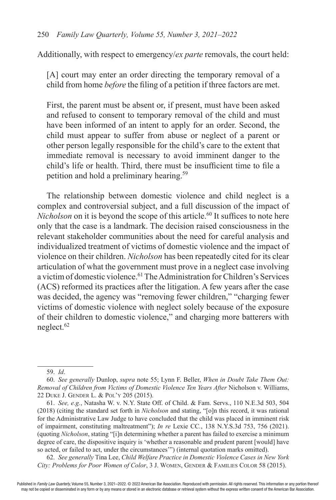Additionally, with respect to emergency/*ex parte* removals, the court held:

[A] court may enter an order directing the temporary removal of a child from home *before* the filing of a petition if three factors are met.

First, the parent must be absent or, if present, must have been asked and refused to consent to temporary removal of the child and must have been informed of an intent to apply for an order. Second, the child must appear to suffer from abuse or neglect of a parent or other person legally responsible for the child's care to the extent that immediate removal is necessary to avoid imminent danger to the child's life or health. Third, there must be insufficient time to file a petition and hold a preliminary hearing.59

The relationship between domestic violence and child neglect is a complex and controversial subject, and a full discussion of the impact of *Nicholson* on it is beyond the scope of this article.<sup>60</sup> It suffices to note here only that the case is a landmark. The decision raised consciousness in the relevant stakeholder communities about the need for careful analysis and individualized treatment of victims of domestic violence and the impact of violence on their children. *Nicholson* has been repeatedly cited for its clear articulation of what the government must prove in a neglect case involving a victim of domestic violence.<sup>61</sup> The Administration for Children's Services (ACS) reformed its practices after the litigation. A few years after the case was decided, the agency was "removing fewer children," "charging fewer victims of domestic violence with neglect solely because of the exposure of their children to domestic violence," and charging more batterers with neglect.62

62. *See generally* Tina Lee, *Child Welfare Practice in Domestic Violence Cases in New York City: Problems for Poor Women of Color*, 3 J. Women, Gender & Families Color 58 (2015).

<sup>59.</sup> *Id*.

<sup>60.</sup> *See generally* Dunlop, *supra* note 55; Lynn F. Beller, *When in Doubt Take Them Out: Removal of Children from Victims of Domestic Violence Ten Years After* Nicholson v. Williams, 22 Duke J. Gender L. & Pol'y 205 (2015).

<sup>61.</sup> *See, e.g.*, Natasha W. v. N.Y. State Off. of Child. & Fam. Servs., 110 N.E.3d 503, 504 (2018) (citing the standard set forth in *Nicholson* and stating, "[o]n this record, it was rational for the Administrative Law Judge to have concluded that the child was placed in imminent risk of impairment, constituting maltreatment"); *In re* Lexie CC*.*, 138 N.Y.S.3d 753, 756 (2021). (quoting *Nicholson*, stating "[i]n determining whether a parent has failed to exercise a minimum degree of care, the dispositive inquiry is 'whether a reasonable and prudent parent [would] have so acted, or failed to act, under the circumstances'") (internal quotation marks omitted).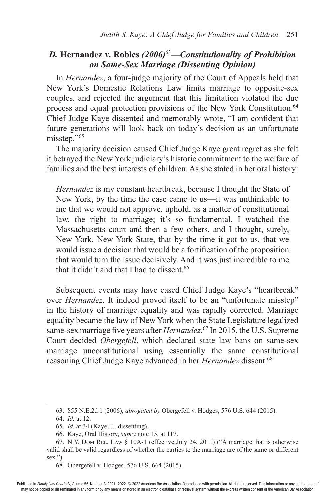## *D.* **Hernandez v. Robles** *(2006)*<sup>63</sup>*—Constitutionality of Prohibition on Same-Sex Marriage (Dissenting Opinion)*

In *Hernandez*, a four-judge majority of the Court of Appeals held that New York's Domestic Relations Law limits marriage to opposite-sex couples, and rejected the argument that this limitation violated the due process and equal protection provisions of the New York Constitution.<sup>64</sup> Chief Judge Kaye dissented and memorably wrote, "I am confident that future generations will look back on today's decision as an unfortunate misstep."<sup>65</sup>

The majority decision caused Chief Judge Kaye great regret as she felt it betrayed the New York judiciary's historic commitment to the welfare of families and the best interests of children. As she stated in her oral history:

*Hernandez* is my constant heartbreak, because I thought the State of New York, by the time the case came to us—it was unthinkable to me that we would not approve, uphold, as a matter of constitutional law, the right to marriage; it's so fundamental. I watched the Massachusetts court and then a few others, and I thought, surely, New York, New York State, that by the time it got to us, that we would issue a decision that would be a fortification of the proposition that would turn the issue decisively. And it was just incredible to me that it didn't and that I had to dissent. $66$ 

Subsequent events may have eased Chief Judge Kaye's "heartbreak" over *Hernandez*. It indeed proved itself to be an "unfortunate misstep" in the history of marriage equality and was rapidly corrected. Marriage equality became the law of New York when the State Legislature legalized same-sex marriage five years after *Hernandez*. 67 In 2015, the U.S. Supreme Court decided *Obergefell*, which declared state law bans on same-sex marriage unconstitutional using essentially the same constitutional reasoning Chief Judge Kaye advanced in her *Hernandez* dissent.<sup>68</sup>

<sup>63.</sup> 855 N.E.2d 1 (2006), *abrogated by* Obergefell v. Hodges, 576 U.S. 644 (2015).

<sup>64.</sup> *Id.* at 12.

<sup>65.</sup> *Id.* at 34 (Kaye, J., dissenting).

<sup>66.</sup> Kaye, Oral History, *supra* note 15, at 117.

<sup>67.</sup> N.Y. Dom Rel. Law § 10A-1 (effective July 24, 2011) ("A marriage that is otherwise valid shall be valid regardless of whether the parties to the marriage are of the same or different sex.").

<sup>68.</sup> Obergefell v. Hodges, 576 U.S. 664 (2015).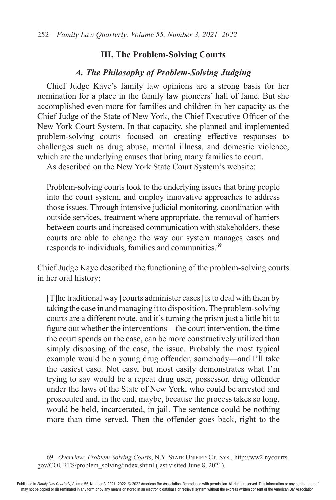### **III. The Problem-Solving Courts**

## *A. The Philosophy of Problem-Solving Judging*

Chief Judge Kaye's family law opinions are a strong basis for her nomination for a place in the family law pioneers' hall of fame. But she accomplished even more for families and children in her capacity as the Chief Judge of the State of New York, the Chief Executive Officer of the New York Court System. In that capacity, she planned and implemented problem-solving courts focused on creating effective responses to challenges such as drug abuse, mental illness, and domestic violence, which are the underlying causes that bring many families to court.

As described on the New York State Court System's website:

Problem-solving courts look to the underlying issues that bring people into the court system, and employ innovative approaches to address those issues. Through intensive judicial monitoring, coordination with outside services, treatment where appropriate, the removal of barriers between courts and increased communication with stakeholders, these courts are able to change the way our system manages cases and responds to individuals, families and communities.<sup>69</sup>

Chief Judge Kaye described the functioning of the problem-solving courts in her oral history:

[T]he traditional way [courts administer cases] is to deal with them by taking the case in and managing it to disposition. The problem-solving courts are a different route, and it's turning the prism just a little bit to figure out whether the interventions—the court intervention, the time the court spends on the case, can be more constructively utilized than simply disposing of the case, the issue. Probably the most typical example would be a young drug offender, somebody—and I'll take the easiest case. Not easy, but most easily demonstrates what I'm trying to say would be a repeat drug user, possessor, drug offender under the laws of the State of New York, who could be arrested and prosecuted and, in the end, maybe, because the process takes so long, would be held, incarcerated, in jail. The sentence could be nothing more than time served. Then the offender goes back, right to the

<sup>69.</sup> *Overview: Problem Solving Courts*, N.Y. State Unified Ct. Sys., http://ww2.nycourts. gov/COURTS/problem\_solving/index.shtml (last visited June 8, 2021).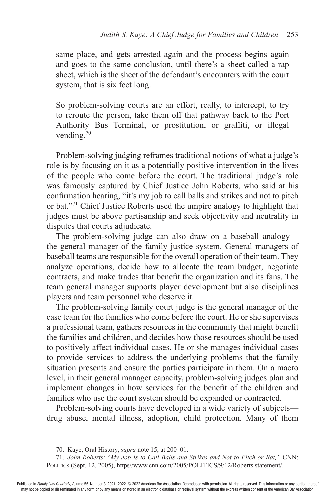same place, and gets arrested again and the process begins again and goes to the same conclusion, until there's a sheet called a rap sheet, which is the sheet of the defendant's encounters with the court system, that is six feet long.

So problem-solving courts are an effort, really, to intercept, to try to reroute the person, take them off that pathway back to the Port Authority Bus Terminal, or prostitution, or graffiti, or illegal vending.<sup>70</sup>

Problem-solving judging reframes traditional notions of what a judge's role is by focusing on it as a potentially positive intervention in the lives of the people who come before the court. The traditional judge's role was famously captured by Chief Justice John Roberts, who said at his confirmation hearing, "it's my job to call balls and strikes and not to pitch or bat."71 Chief Justice Roberts used the umpire analogy to highlight that judges must be above partisanship and seek objectivity and neutrality in disputes that courts adjudicate.

The problem-solving judge can also draw on a baseball analogy the general manager of the family justice system. General managers of baseball teams are responsible for the overall operation of their team. They analyze operations, decide how to allocate the team budget, negotiate contracts, and make trades that benefit the organization and its fans. The team general manager supports player development but also disciplines players and team personnel who deserve it.

The problem-solving family court judge is the general manager of the case team for the families who come before the court. He or she supervises a professional team, gathers resources in the community that might benefit the families and children, and decides how those resources should be used to positively affect individual cases. He or she manages individual cases to provide services to address the underlying problems that the family situation presents and ensure the parties participate in them. On a macro level, in their general manager capacity, problem-solving judges plan and implement changes in how services for the benefit of the children and families who use the court system should be expanded or contracted.

Problem-solving courts have developed in a wide variety of subjects drug abuse, mental illness, adoption, child protection. Many of them

<sup>70.</sup> Kaye, Oral History, *supra* note 15, at 200–01.

<sup>71.</sup> *John Roberts:* "*My Job Is to Call Balls and Strikes and Not to Pitch or Bat,"* CNN: Politics (Sept. 12, 2005), https//www.cnn.com/2005/POLITICS/9/12/Roberts.statement/.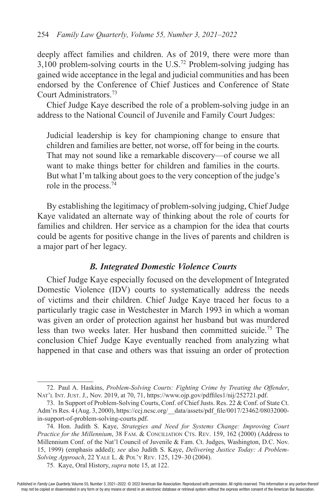deeply affect families and children. As of 2019, there were more than  $3,100$  problem-solving courts in the U.S.<sup>72</sup> Problem-solving judging has gained wide acceptance in the legal and judicial communities and has been endorsed by the Conference of Chief Justices and Conference of State Court Administrators.73

Chief Judge Kaye described the role of a problem-solving judge in an address to the National Council of Juvenile and Family Court Judges:

Judicial leadership is key for championing change to ensure that children and families are better, not worse, off for being in the courts*.* That may not sound like a remarkable discovery—of course we all want to make things better for children and families in the courts. But what I'm talking about goes to the very conception of the judge's role in the process.<sup>74</sup>

By establishing the legitimacy of problem-solving judging, Chief Judge Kaye validated an alternate way of thinking about the role of courts for families and children. Her service as a champion for the idea that courts could be agents for positive change in the lives of parents and children is a major part of her legacy.

### *B. Integrated Domestic Violence Courts*

Chief Judge Kaye especially focused on the development of Integrated Domestic Violence (IDV) courts to systematically address the needs of victims and their children. Chief Judge Kaye traced her focus to a particularly tragic case in Westchester in March 1993 in which a woman was given an order of protection against her husband but was murdered less than two weeks later. Her husband then committed suicide.75 The conclusion Chief Judge Kaye eventually reached from analyzing what happened in that case and others was that issuing an order of protection

<sup>72.</sup> Paul A. Haskins, *Problem-Solving Courts: Fighting Crime by Treating the Offender*, Nat'l Int. Just. J., Nov. 2019, at 70, 71, https://www.ojp.gov/pdffiles1/nij/252721.pdf.

<sup>73.</sup> In Support of Problem-Solving Courts, Conf. of Chief Justs. Res. 22 & Conf. of State Ct. Adm'rs Res. 4 (Aug. 3, 2000), https://ccj.ncsc.org/\_\_data/assets/pdf\_file/0017/23462/08032000 in-support-of-problem-solving-courts.pdf.

<sup>74.</sup> Hon. Judith S. Kaye, *Strategies and Need for Systems Change: Improving Court Practice for the Millennium*, 38 FAM. & CONCILIATION CTS. REV. 159, 162 (2000) (Address to Millennium Conf. of the Nat'l Council of Juvenile & Fam. Ct. Judges, Washington, D.C. Nov. 15, 1999) (emphasis added); *see* also Judith S. Kaye, *Delivering Justice Today: A Problem-Solving Approach*, 22 Yale L. & Pol'y Rev. 125, 129–30 (2004).

<sup>75.</sup> Kaye, Oral History, *supra* note 15, at 122.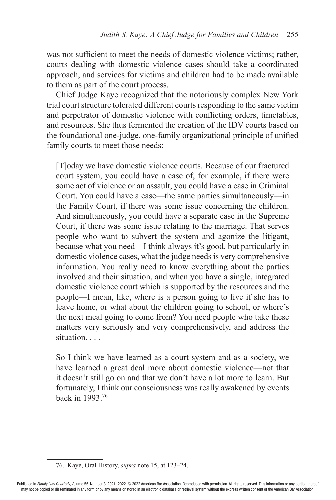was not sufficient to meet the needs of domestic violence victims; rather, courts dealing with domestic violence cases should take a coordinated approach, and services for victims and children had to be made available to them as part of the court process.

Chief Judge Kaye recognized that the notoriously complex New York trial court structure tolerated different courts responding to the same victim and perpetrator of domestic violence with conflicting orders, timetables, and resources. She thus fermented the creation of the IDV courts based on the foundational one-judge, one-family organizational principle of unified family courts to meet those needs:

[T]oday we have domestic violence courts. Because of our fractured court system, you could have a case of, for example, if there were some act of violence or an assault, you could have a case in Criminal Court. You could have a case—the same parties simultaneously—in the Family Court, if there was some issue concerning the children. And simultaneously, you could have a separate case in the Supreme Court, if there was some issue relating to the marriage. That serves people who want to subvert the system and agonize the litigant, because what you need—I think always it's good, but particularly in domestic violence cases, what the judge needs is very comprehensive information. You really need to know everything about the parties involved and their situation, and when you have a single, integrated domestic violence court which is supported by the resources and the people—I mean, like, where is a person going to live if she has to leave home, or what about the children going to school, or where's the next meal going to come from? You need people who take these matters very seriously and very comprehensively, and address the situation. . . .

So I think we have learned as a court system and as a society, we have learned a great deal more about domestic violence—not that it doesn't still go on and that we don't have a lot more to learn. But fortunately, I think our consciousness was really awakened by events back in 1993.76

<sup>76.</sup> Kaye, Oral History, *supra* note 15, at 123–24.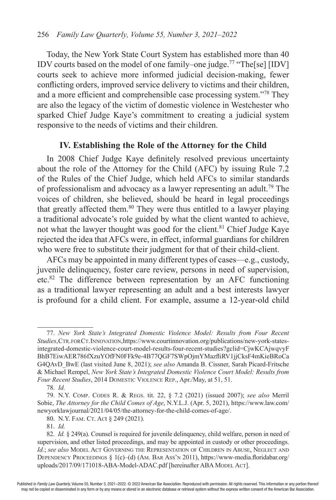Today, the New York State Court System has established more than 40 IDV courts based on the model of one family–one judge.<sup>77</sup> "The[se] [IDV] courts seek to achieve more informed judicial decision-making, fewer conflicting orders, improved service delivery to victims and their children, and a more efficient and comprehensible case processing system."78 They are also the legacy of the victim of domestic violence in Westchester who sparked Chief Judge Kaye's commitment to creating a judicial system responsive to the needs of victims and their children.

#### **IV. Establishing the Role of the Attorney for the Child**

In 2008 Chief Judge Kaye definitely resolved previous uncertainty about the role of the Attorney for the Child (AFC) by issuing Rule 7.2 of the Rules of the Chief Judge, which held AFCs to similar standards of professionalism and advocacy as a lawyer representing an adult.<sup>79</sup> The voices of children, she believed, should be heard in legal proceedings that greatly affected them.<sup>80</sup> They were thus entitled to a lawyer playing a traditional advocate's role guided by what the client wanted to achieve, not what the lawyer thought was good for the client.<sup>81</sup> Chief Judge Kaye rejected the idea that AFCs were, in effect, informal guardians for children who were free to substitute their judgment for that of their child-client.

AFCs may be appointed in many different types of cases—e.g., custody, juvenile delinquency, foster care review, persons in need of supervision, etc.82 The difference between representation by an AFC functioning as a traditional lawyer representing an adult and a best interests lawyer is profound for a child client. For example, assume a 12-year-old child

<sup>77.</sup> *New York State's Integrated Domestic Violence Model: Results from Four Recent Studies*, Ctr. forCt. Innovation, https://www.courtinnovation.org/publications/new-york-statesintegrated-domestic-violence-court-model-results-four-recent-studies?gclid=CjwKCAjwqvyF BhB7EiwAER786fXzuYOfFN0FFk9e-4B77QGF7SWpOjmYMazfliRV1jjCksF4mKieBRoCa G4QAvD\_BwE (last visited June 8, 2021); *see also* Amanda B. Cissner, Sarah Picard-Fritsche & Michael Rempel, *New York State's Integrated Domestic Violence Court Model: Results from Four Recent Studies*, 2014 Domestic Violence Rep., Apr./May, at 51, 51.

<sup>78.</sup> *Id.*

<sup>79.</sup> N.Y. Comp. Codes R. & Regs. tit. 22, § 7.2 (2021) (issued 2007); *see also* Merril Sobie, *The Attorney for the Child Comes of Age*, N.Y.L.J. (Apr. 5, 2021), https://www.law.com/ newyorklawjournal/2021/04/05/the-attorney-for-the-child-comes-of-age/.

<sup>80.</sup> N.Y. FAM. CT. Act § 249 (2021).

<sup>81.</sup> *Id.*

<sup>82.</sup> *Id.* § 249(a). Counsel is required for juvenile delinquency, child welfare, person in need of supervision, and other listed proceedings, and may be appointed in custody or other proceedings. *Id.*; *see also* Model Act Governing the Representation of Children in Abuse, Neglect and DEPENDENCY PROCEEDINGS § 1(c)–(d) (AM. BAR Ass' n 2011), https://www-media.floridabar.org/ uploads/2017/09/171018-ABA-Model-ADAC.pdf [hereinafter ABA MODEL ACT].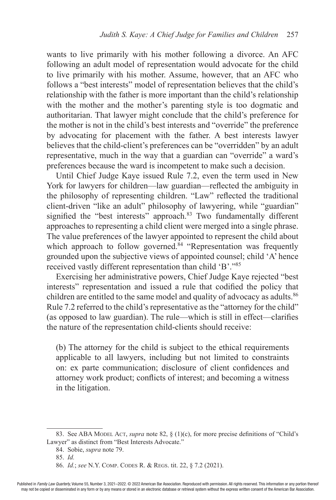wants to live primarily with his mother following a divorce. An AFC following an adult model of representation would advocate for the child to live primarily with his mother. Assume, however, that an AFC who follows a "best interests" model of representation believes that the child's relationship with the father is more important than the child's relationship with the mother and the mother's parenting style is too dogmatic and authoritarian. That lawyer might conclude that the child's preference for the mother is not in the child's best interests and "override" the preference by advocating for placement with the father. A best interests lawyer believes that the child-client's preferences can be "overridden" by an adult representative, much in the way that a guardian can "override" a ward's preferences because the ward is incompetent to make such a decision.

Until Chief Judge Kaye issued Rule 7.2, even the term used in New York for lawyers for children—law guardian—reflected the ambiguity in the philosophy of representing children. "Law" reflected the traditional client-driven "like an adult" philosophy of lawyering, while "guardian" signified the "best interests" approach.<sup>83</sup> Two fundamentally different approaches to representing a child client were merged into a single phrase. The value preferences of the lawyer appointed to represent the child about which approach to follow governed.<sup>84</sup> "Representation was frequently grounded upon the subjective views of appointed counsel; child 'A' hence received vastly different representation than child 'B'."<sup>85</sup>

Exercising her administrative powers, Chief Judge Kaye rejected "best interests" representation and issued a rule that codified the policy that children are entitled to the same model and quality of advocacy as adults.<sup>86</sup> Rule 7.2 referred to the child's representative as the "attorney for the child" (as opposed to law guardian). The rule—which is still in effect—clarifies the nature of the representation child-clients should receive:

(b) The attorney for the child is subject to the ethical requirements applicable to all lawyers, including but not limited to constraints on: ex parte communication; disclosure of client confidences and attorney work product; conflicts of interest; and becoming a witness in the litigation.

<sup>83.</sup> See ABA Model Act, *supra* note 82, § (1)(c), for more precise definitions of "Child's Lawyer" as distinct from "Best Interests Advocate."

<sup>84.</sup> Sobie, *supra* note 79.

<sup>85.</sup> *Id.*

<sup>86.</sup> *Id.*; *see* N.Y. Comp. Codes R. & Regs. tit. 22, § 7.2 (2021).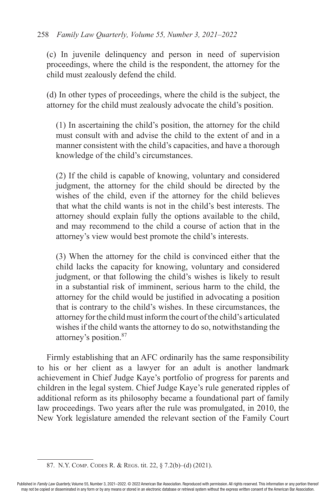#### 258 *Family Law Quarterly, Volume 55, Number 3, 2021–2022*

(c) In juvenile delinquency and person in need of supervision proceedings, where the child is the respondent, the attorney for the child must zealously defend the child.

(d) In other types of proceedings, where the child is the subject, the attorney for the child must zealously advocate the child's position.

(1) In ascertaining the child's position, the attorney for the child must consult with and advise the child to the extent of and in a manner consistent with the child's capacities, and have a thorough knowledge of the child's circumstances.

(2) If the child is capable of knowing, voluntary and considered judgment, the attorney for the child should be directed by the wishes of the child, even if the attorney for the child believes that what the child wants is not in the child's best interests. The attorney should explain fully the options available to the child, and may recommend to the child a course of action that in the attorney's view would best promote the child's interests.

(3) When the attorney for the child is convinced either that the child lacks the capacity for knowing, voluntary and considered judgment, or that following the child's wishes is likely to result in a substantial risk of imminent, serious harm to the child, the attorney for the child would be justified in advocating a position that is contrary to the child's wishes. In these circumstances, the attorney for the child must inform the court of the child's articulated wishes if the child wants the attorney to do so, notwithstanding the attorney's position.87

Firmly establishing that an AFC ordinarily has the same responsibility to his or her client as a lawyer for an adult is another landmark achievement in Chief Judge Kaye's portfolio of progress for parents and children in the legal system. Chief Judge Kaye's rule generated ripples of additional reform as its philosophy became a foundational part of family law proceedings. Two years after the rule was promulgated, in 2010, the New York legislature amended the relevant section of the Family Court

<sup>87.</sup> N.Y. Comp. Codes R. & Regs. tit. 22, § 7.2(b)–(d) (2021).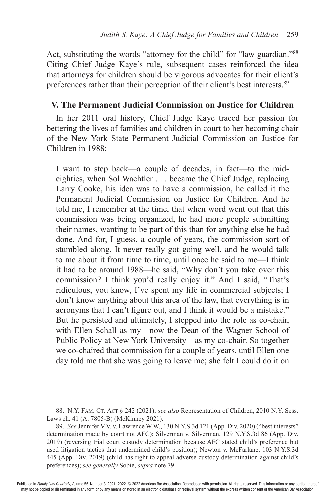Act, substituting the words "attorney for the child" for "law guardian."<sup>88</sup> Citing Chief Judge Kaye's rule, subsequent cases reinforced the idea that attorneys for children should be vigorous advocates for their client's preferences rather than their perception of their client's best interests.89

#### **V. The Permanent Judicial Commission on Justice for Children**

In her 2011 oral history, Chief Judge Kaye traced her passion for bettering the lives of families and children in court to her becoming chair of the New York State Permanent Judicial Commission on Justice for Children in 1988:

I want to step back—a couple of decades, in fact—to the mideighties, when Sol Wachtler . . . became the Chief Judge, replacing Larry Cooke, his idea was to have a commission, he called it the Permanent Judicial Commission on Justice for Children. And he told me, I remember at the time, that when word went out that this commission was being organized, he had more people submitting their names, wanting to be part of this than for anything else he had done. And for, I guess, a couple of years, the commission sort of stumbled along. It never really got going well, and he would talk to me about it from time to time, until once he said to me—I think it had to be around 1988—he said, "Why don't you take over this commission? I think you'd really enjoy it." And I said, "That's ridiculous, you know, I've spent my life in commercial subjects; I don't know anything about this area of the law, that everything is in acronyms that I can't figure out, and I think it would be a mistake." But he persisted and ultimately, I stepped into the role as co-chair, with Ellen Schall as my—now the Dean of the Wagner School of Public Policy at New York University—as my co-chair. So together we co-chaired that commission for a couple of years, until Ellen one day told me that she was going to leave me; she felt I could do it on

<sup>88.</sup> N.Y. FAM. CT. ACT § 242 (2021); see also Representation of Children, 2010 N.Y. Sess. Laws ch. 41 (A. 7805-B) (McKinney 2021).

<sup>89.</sup> *See* Jennifer V.V. v. Lawrence W.W., 130 N.Y.S.3d 121 (App. Div. 2020) ("best interests" determination made by court not AFC); Silverman v. Silverman, 129 N.Y.S.3d 86 (App. Div. 2019) (reversing trial court custody determination because AFC stated child's preference but used litigation tactics that undermined child's position); Newton v. McFarlane, 103 N.Y.S.3d 445 (App. Div. 2019) (child has right to appeal adverse custody determination against child's preferences); *see generally* Sobie, *supra* note 79.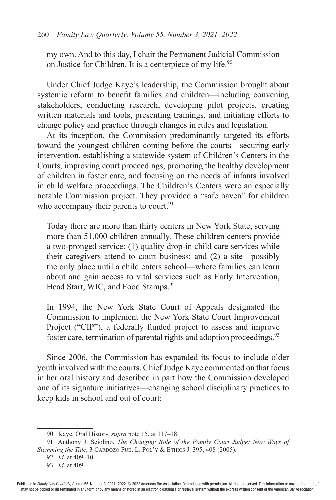my own. And to this day, I chair the Permanent Judicial Commission on Justice for Children. It is a centerpiece of my life.<sup>90</sup>

Under Chief Judge Kaye's leadership, the Commission brought about systemic reform to benefit families and children—including convening stakeholders, conducting research, developing pilot projects, creating written materials and tools, presenting trainings, and initiating efforts to change policy and practice through changes in rules and legislation.

At its inception, the Commission predominantly targeted its efforts toward the youngest children coming before the courts—securing early intervention, establishing a statewide system of Children's Centers in the Courts, improving court proceedings, promoting the healthy development of children in foster care, and focusing on the needs of infants involved in child welfare proceedings. The Children's Centers were an especially notable Commission project. They provided a "safe haven" for children who accompany their parents to court.<sup>91</sup>

Today there are more than thirty centers in New York State, serving more than 51,000 children annually. These children centers provide a two-pronged service: (1) quality drop-in child care services while their caregivers attend to court business; and (2) a site—possibly the only place until a child enters school—where families can learn about and gain access to vital services such as Early Intervention, Head Start, WIC, and Food Stamps.<sup>92</sup>

In 1994, the New York State Court of Appeals designated the Commission to implement the New York State Court Improvement Project ("CIP"), a federally funded project to assess and improve foster care, termination of parental rights and adoption proceedings.<sup>93</sup>

Since 2006, the Commission has expanded its focus to include older youth involved with the courts. Chief Judge Kaye commented on that focus in her oral history and described in part how the Commission developed one of its signature initiatives—changing school disciplinary practices to keep kids in school and out of court:

<sup>90.</sup> Kaye, Oral History, *supra* note 15, at 117–18.

<sup>91.</sup> Anthony J. Sciolino, *The Changing Role of the Family Court Judge: New Ways of Stemming the Tide*, 3 CARDOZO PUB. L. POL'Y & ETHICS J. 395, 408 (2005).

<sup>92.</sup> *Id.* at 409–10.

<sup>93.</sup> *Id.* at 409.

Published in *Family Law Quarterly*, Volume 55, Number 3, 2021–2022. © 2022 American Bar Association. Reproduced with permission. All rights reserved. This information or any portion thereof may not be copied or disseminated in any form or by any means or stored in an electronic database or retrieval system without the express written consent of the American Bar Association.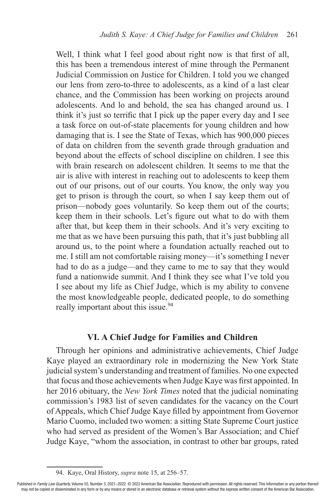Well, I think what I feel good about right now is that first of all, this has been a tremendous interest of mine through the Permanent Judicial Commission on Justice for Children. I told you we changed our lens from zero-to-three to adolescents, as a kind of a last clear chance, and the Commission has been working on projects around adolescents. And lo and behold, the sea has changed around us. I think it's just so terrific that I pick up the paper every day and I see a task force on out-of-state placements for young children and how damaging that is. I see the State of Texas, which has 900,000 pieces of data on children from the seventh grade through graduation and beyond about the effects of school discipline on children. I see this with brain research on adolescent children. It seems to me that the air is alive with interest in reaching out to adolescents to keep them out of our prisons, out of our courts. You know, the only way you get to prison is through the court, so when I say keep them out of prison—nobody goes voluntarily. So keep them out of the courts; keep them in their schools. Let's figure out what to do with them after that, but keep them in their schools. And it's very exciting to me that as we have been pursuing this path, that it's just bubbling all around us, to the point where a foundation actually reached out to me. I still am not comfortable raising money—it's something I never had to do as a judge—and they came to me to say that they would fund a nationwide summit. And I think they see what I've told you I see about my life as Chief Judge, which is my ability to convene the most knowledgeable people, dedicated people, to do something really important about this issue.<sup>94</sup>

#### **VI. A Chief Judge for Families and Children**

Through her opinions and administrative achievements, Chief Judge Kaye played an extraordinary role in modernizing the New York State judicial system's understanding and treatment of families. No one expected that focus and those achievements when Judge Kaye was first appointed. In her 2016 obituary, the *New York Times* noted that the judicial nominating commission's 1983 list of seven candidates for the vacancy on the Court of Appeals, which Chief Judge Kaye filled by appointment from Governor Mario Cuomo, included two women: a sitting State Supreme Court justice who had served as president of the Women's Bar Association; and Chief Judge Kaye, "whom the association, in contrast to other bar groups, rated

<sup>94.</sup> Kaye, Oral History, *supra* note 15, at 256–57.

Published in Family Law Quarterly, Volume 55, Number 3, 2021-2022. © 2022 American Bar Association. Reproduced with permission. All rights reserved. This information or any portion thereof may not be copied or disseminated in any form or by any means or stored in an electronic database or retrieval system without the express written consent of the American Bar Association.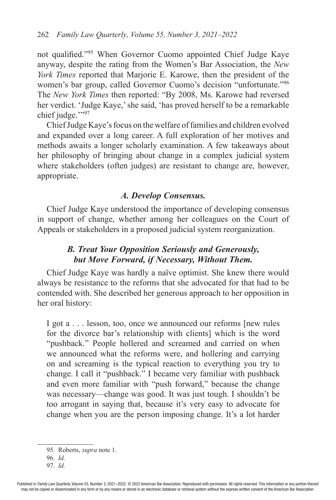not qualified."95 When Governor Cuomo appointed Chief Judge Kaye anyway, despite the rating from the Women's Bar Association, the *New York Times* reported that Marjorie E. Karowe, then the president of the women's bar group, called Governor Cuomo's decision "unfortunate."<sup>96</sup> The *New York Times* then reported: "By 2008, Ms. Karowe had reversed her verdict. 'Judge Kaye,' she said, 'has proved herself to be a remarkable chief judge.""97

Chief Judge Kaye's focus on the welfare of families and children evolved and expanded over a long career. A full exploration of her motives and methods awaits a longer scholarly examination. A few takeaways about her philosophy of bringing about change in a complex judicial system where stakeholders (often judges) are resistant to change are, however, appropriate.

#### *A. Develop Consensus.*

Chief Judge Kaye understood the importance of developing consensus in support of change, whether among her colleagues on the Court of Appeals or stakeholders in a proposed judicial system reorganization.

## *B. Treat Your Opposition Seriously and Generously, but Move Forward, if Necessary, Without Them.*

Chief Judge Kaye was hardly a naïve optimist. She knew there would always be resistance to the reforms that she advocated for that had to be contended with. She described her generous approach to her opposition in her oral history:

I got a . . . lesson, too, once we announced our reforms [new rules for the divorce bar's relationship with clients] which is the word "pushback." People hollered and screamed and carried on when we announced what the reforms were, and hollering and carrying on and screaming is the typical reaction to everything you try to change. I call it "pushback." I became very familiar with pushback and even more familiar with "push forward," because the change was necessary—change was good. It was just tough. I shouldn't be too arrogant in saying that, because it's very easy to advocate for change when you are the person imposing change. It's a lot harder

<sup>95.</sup> Roberts, *supra* note 1.

<sup>96.</sup> *Id.*

<sup>97.</sup> *Id.*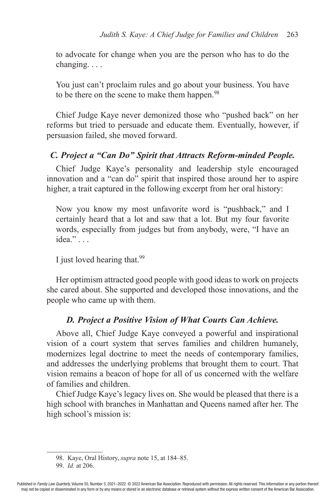to advocate for change when you are the person who has to do the changing. . . .

You just can't proclaim rules and go about your business. You have to be there on the scene to make them happen.<sup>98</sup>

Chief Judge Kaye never demonized those who "pushed back" on her reforms but tried to persuade and educate them. Eventually, however, if persuasion failed, she moved forward.

#### *C. Project a "Can Do" Spirit that Attracts Reform-minded People.*

Chief Judge Kaye's personality and leadership style encouraged innovation and a "can do" spirit that inspired those around her to aspire higher, a trait captured in the following excerpt from her oral history:

Now you know my most unfavorite word is "pushback," and I certainly heard that a lot and saw that a lot. But my four favorite words, especially from judges but from anybody, were, "I have an idea." . . .

I just loved hearing that.99

Her optimism attracted good people with good ideas to work on projects she cared about. She supported and developed those innovations, and the people who came up with them.

## *D. Project a Positive Vision of What Courts Can Achieve.*

Above all, Chief Judge Kaye conveyed a powerful and inspirational vision of a court system that serves families and children humanely, modernizes legal doctrine to meet the needs of contemporary families, and addresses the underlying problems that brought them to court. That vision remains a beacon of hope for all of us concerned with the welfare of families and children.

Chief Judge Kaye's legacy lives on. She would be pleased that there is a high school with branches in Manhattan and Queens named after her. The high school's mission is:

99. *Id.* at 206.

<sup>98.</sup> Kaye, Oral History, *supra* note 15, at 184–85.